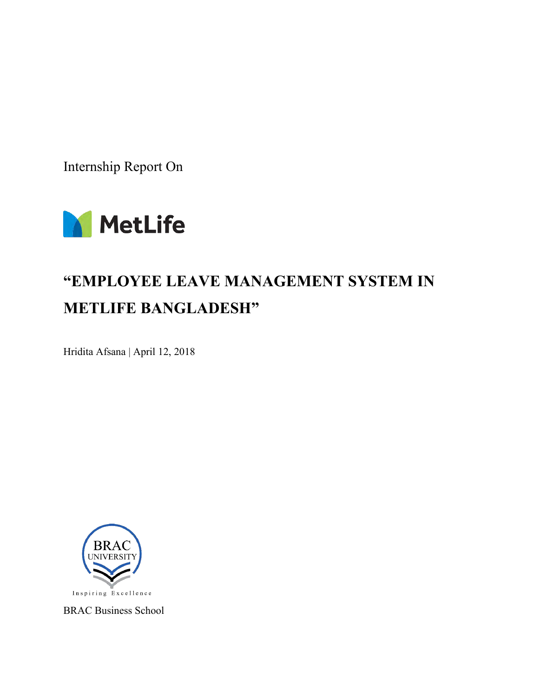Internship Report On



# **"EMPLOYEE LEAVE MANAGEMENT SYSTEM IN METLIFE BANGLADESH"**

Hridita Afsana | April 12, 2018



BRAC Business School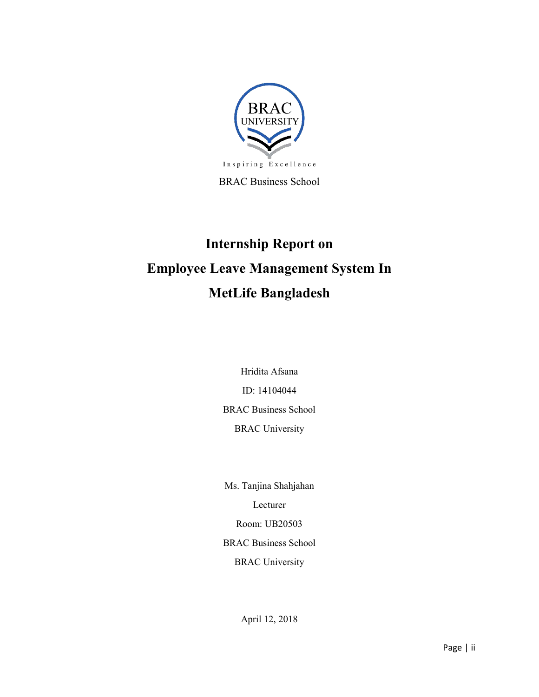

BRAC Business School

# **Internship Report on Employee Leave Management System In MetLife Bangladesh**

Hridita Afsana ID: 14104044 BRAC Business School BRAC University

Ms. Tanjina Shahjahan Lecturer Room: UB20503 BRAC Business School BRAC University

April 12, 2018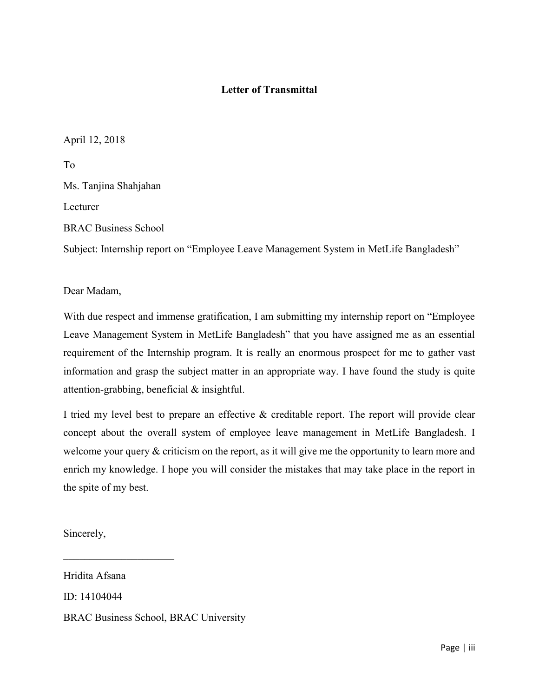#### **Letter of Transmittal**

April 12, 2018

To Ms. Tanjina Shahjahan Lecturer BRAC Business School

Subject: Internship report on "Employee Leave Management System in MetLife Bangladesh"

Dear Madam,

With due respect and immense gratification, I am submitting my internship report on "Employee Leave Management System in MetLife Bangladesh" that you have assigned me as an essential requirement of the Internship program. It is really an enormous prospect for me to gather vast information and grasp the subject matter in an appropriate way. I have found the study is quite attention-grabbing, beneficial & insightful.

I tried my level best to prepare an effective & creditable report. The report will provide clear concept about the overall system of employee leave management in MetLife Bangladesh. I welcome your query  $\&$  criticism on the report, as it will give me the opportunity to learn more and enrich my knowledge. I hope you will consider the mistakes that may take place in the report in the spite of my best.

Sincerely,

\_\_\_\_\_\_\_\_\_\_\_\_\_\_\_\_\_\_\_\_\_

Hridita Afsana ID: 14104044 BRAC Business School, BRAC University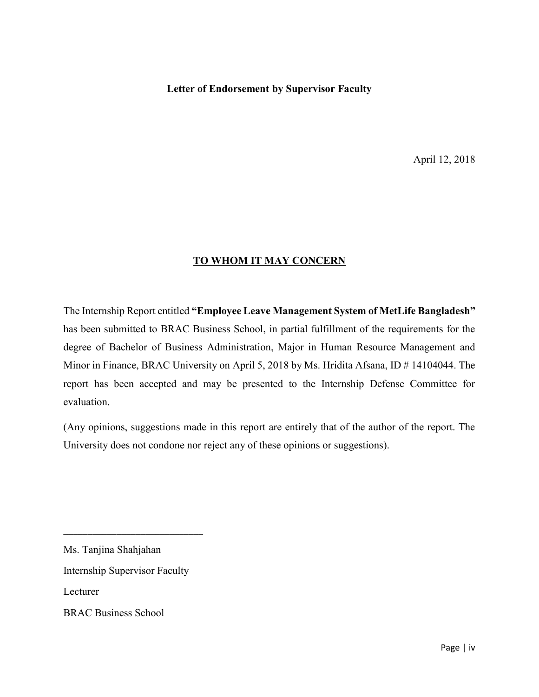#### **Letter of Endorsement by Supervisor Faculty**

April 12, 2018

#### **TO WHOM IT MAY CONCERN**

The Internship Report entitled **"Employee Leave Management System of MetLife Bangladesh"** has been submitted to BRAC Business School, in partial fulfillment of the requirements for the degree of Bachelor of Business Administration, Major in Human Resource Management and Minor in Finance, BRAC University on April 5, 2018 by Ms. Hridita Afsana, ID # 14104044. The report has been accepted and may be presented to the Internship Defense Committee for evaluation.

(Any opinions, suggestions made in this report are entirely that of the author of the report. The University does not condone nor reject any of these opinions or suggestions).

Ms. Tanjina Shahjahan

Internship Supervisor Faculty

\_\_\_\_\_\_\_\_\_\_\_\_\_\_\_\_\_\_\_\_\_\_\_\_\_\_\_\_\_

Lecturer

BRAC Business School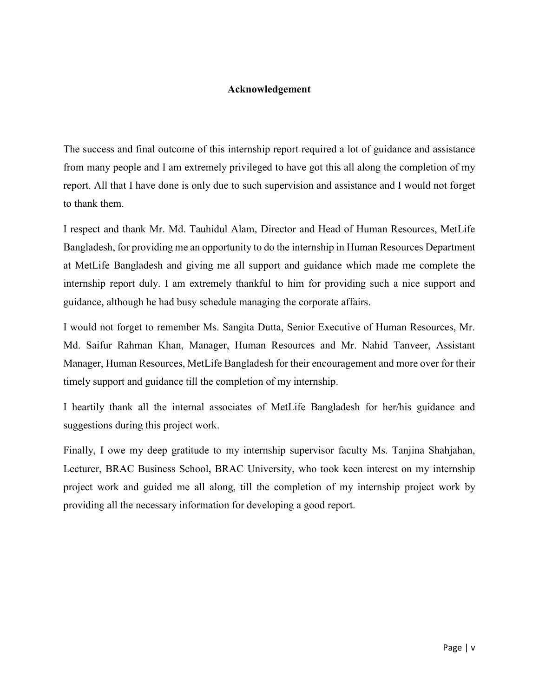#### **Acknowledgement**

The success and final outcome of this internship report required a lot of guidance and assistance from many people and I am extremely privileged to have got this all along the completion of my report. All that I have done is only due to such supervision and assistance and I would not forget to thank them.

I respect and thank Mr. Md. Tauhidul Alam, Director and Head of Human Resources, MetLife Bangladesh, for providing me an opportunity to do the internship in Human Resources Department at MetLife Bangladesh and giving me all support and guidance which made me complete the internship report duly. I am extremely thankful to him for providing such a nice support and guidance, although he had busy schedule managing the corporate affairs.

I would not forget to remember Ms. Sangita Dutta, Senior Executive of Human Resources, Mr. Md. Saifur Rahman Khan, Manager, Human Resources and Mr. Nahid Tanveer, Assistant Manager, Human Resources, MetLife Bangladesh for their encouragement and more over for their timely support and guidance till the completion of my internship.

I heartily thank all the internal associates of MetLife Bangladesh for her/his guidance and suggestions during this project work.

Finally, I owe my deep gratitude to my internship supervisor faculty Ms. Tanjina Shahjahan, Lecturer, BRAC Business School, BRAC University, who took keen interest on my internship project work and guided me all along, till the completion of my internship project work by providing all the necessary information for developing a good report.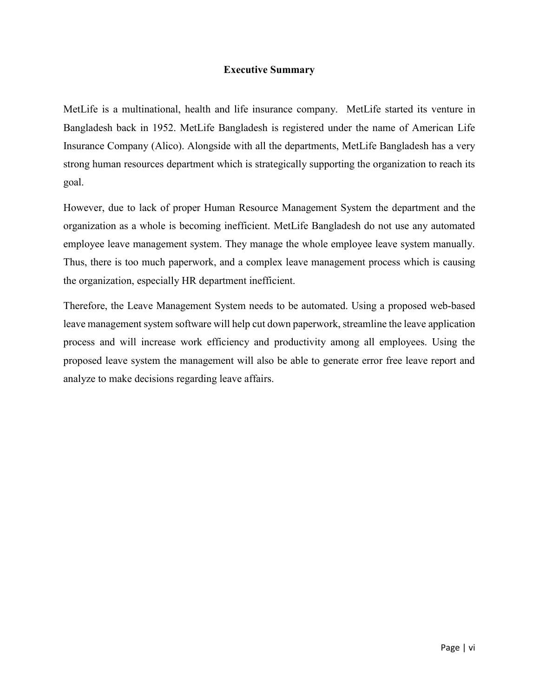#### **Executive Summary**

MetLife is a multinational, health and life insurance company. MetLife started its venture in Bangladesh back in 1952. MetLife Bangladesh is registered under the name of American Life Insurance Company (Alico). Alongside with all the departments, MetLife Bangladesh has a very strong human resources department which is strategically supporting the organization to reach its goal.

However, due to lack of proper Human Resource Management System the department and the organization as a whole is becoming inefficient. MetLife Bangladesh do not use any automated employee leave management system. They manage the whole employee leave system manually. Thus, there is too much paperwork, and a complex leave management process which is causing the organization, especially HR department inefficient.

Therefore, the Leave Management System needs to be automated. Using a proposed web-based leave management system software will help cut down paperwork, streamline the leave application process and will increase work efficiency and productivity among all employees. Using the proposed leave system the management will also be able to generate error free leave report and analyze to make decisions regarding leave affairs.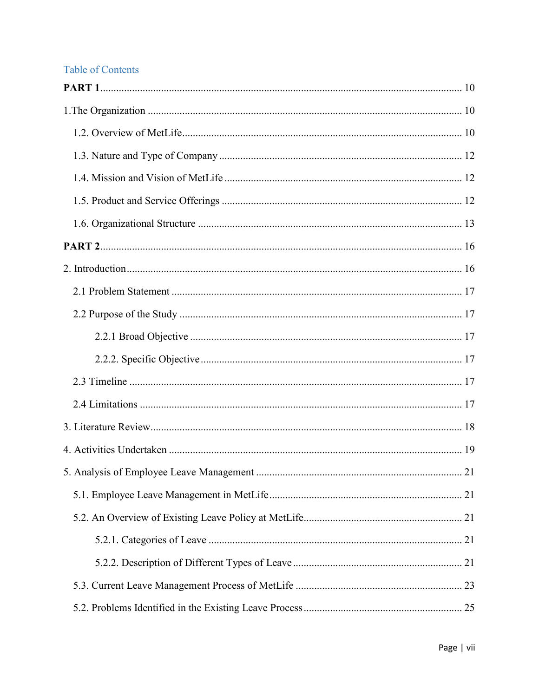## **Table of Contents**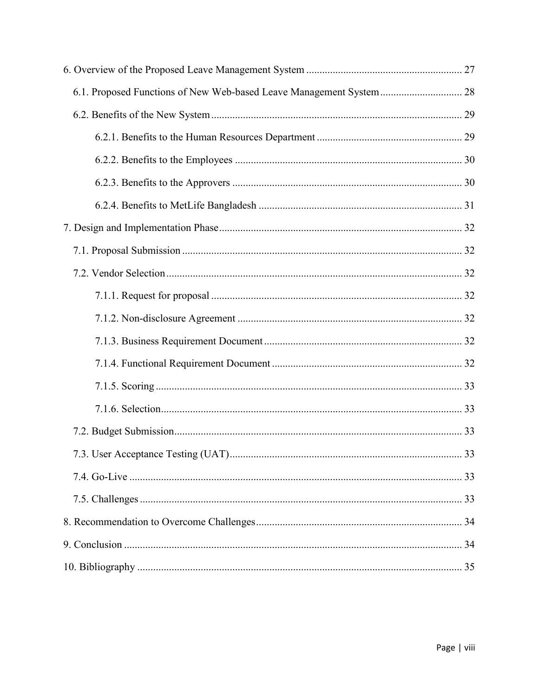| 6.1. Proposed Functions of New Web-based Leave Management System 28 |  |
|---------------------------------------------------------------------|--|
|                                                                     |  |
|                                                                     |  |
|                                                                     |  |
|                                                                     |  |
|                                                                     |  |
|                                                                     |  |
|                                                                     |  |
|                                                                     |  |
|                                                                     |  |
|                                                                     |  |
|                                                                     |  |
|                                                                     |  |
|                                                                     |  |
|                                                                     |  |
|                                                                     |  |
|                                                                     |  |
|                                                                     |  |
|                                                                     |  |
|                                                                     |  |
|                                                                     |  |
|                                                                     |  |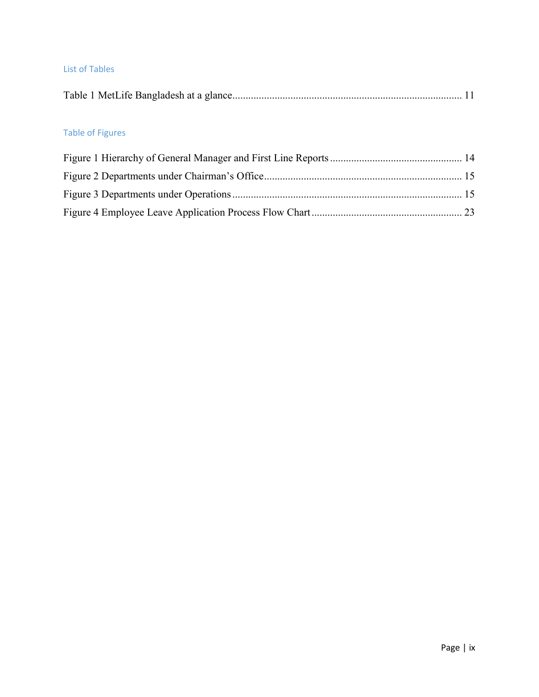#### List of Tables

|--|--|--|--|--|--|

## Table of Figures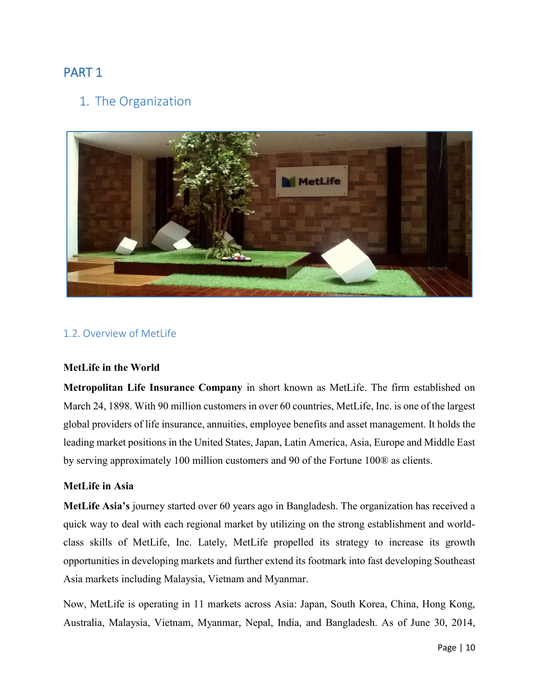# <span id="page-9-1"></span><span id="page-9-0"></span>PART 1

## 1. The Organization



#### <span id="page-9-2"></span>1.2. Overview of MetLife

#### **MetLife in the World**

**Metropolitan Life Insurance Company** in short known as MetLife. The firm established on March 24, 1898. With 90 million customers in over 60 countries, MetLife, Inc. is one of the largest global providers of life insurance, annuities, employee benefits and asset management. It holds the leading market positions in the United States, Japan, Latin America, Asia, Europe and Middle East by serving approximately 100 million customers and 90 of the Fortune 100® as clients.

#### **MetLife in Asia**

**MetLife Asia's** journey started over 60 years ago in Bangladesh. The organization has received a quick way to deal with each regional market by utilizing on the strong establishment and worldclass skills of MetLife, Inc. Lately, MetLife propelled its strategy to increase its growth opportunities in developing markets and further extend its footmark into fast developing Southeast Asia markets including Malaysia, Vietnam and Myanmar.

Now, MetLife is operating in 11 markets across Asia: Japan, South Korea, China, Hong Kong, Australia, Malaysia, Vietnam, Myanmar, Nepal, India, and Bangladesh. As of June 30, 2014,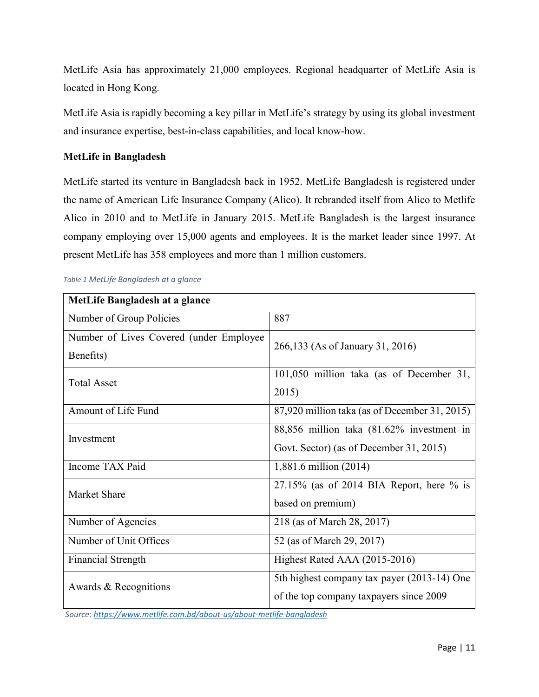MetLife Asia has approximately 21,000 employees. Regional headquarter of MetLife Asia is located in Hong Kong.

MetLife Asia is rapidly becoming a key pillar in MetLife's strategy by using its global investment and insurance expertise, best-in-class capabilities, and local know-how.

#### **MetLife in Bangladesh**

MetLife started its venture in Bangladesh back in 1952. MetLife Bangladesh is registered under the name of American Life Insurance Company (Alico). It rebranded itself from Alico to Metlife Alico in 2010 and to MetLife in January 2015. MetLife Bangladesh is the largest insurance company employing over 15,000 agents and employees. It is the market leader since 1997. At present MetLife has 358 employees and more than 1 million customers.

| MetLife Bangladesh at a glance           |                                               |  |  |  |
|------------------------------------------|-----------------------------------------------|--|--|--|
| Number of Group Policies                 | 887                                           |  |  |  |
| Number of Lives Covered (under Employee) | 266,133 (As of January 31, 2016)              |  |  |  |
| Benefits)                                |                                               |  |  |  |
| <b>Total Asset</b>                       | 101,050 million taka (as of December 31,      |  |  |  |
|                                          | 2015)                                         |  |  |  |
| Amount of Life Fund                      | 87,920 million taka (as of December 31, 2015) |  |  |  |
| Investment                               | 88,856 million taka (81.62% investment in     |  |  |  |
|                                          | Govt. Sector) (as of December 31, 2015)       |  |  |  |
| Income TAX Paid                          | 1,881.6 million (2014)                        |  |  |  |
| Market Share                             | $27.15\%$ (as of 2014 BIA Report, here % is   |  |  |  |
|                                          | based on premium)                             |  |  |  |
| Number of Agencies                       | 218 (as of March 28, 2017)                    |  |  |  |
| Number of Unit Offices                   | 52 (as of March 29, 2017)                     |  |  |  |
| <b>Financial Strength</b>                | Highest Rated AAA (2015-2016)                 |  |  |  |
| Awards & Recognitions                    | 5th highest company tax payer (2013-14) One   |  |  |  |
|                                          | of the top company taxpayers since 2009       |  |  |  |

#### <span id="page-10-0"></span>*Table 1 MetLife Bangladesh at a glance*

 *Source[: https://www.metlife.com.bd/about-us/about-metlife-bangladesh](https://www.metlife.com.bd/about-us/about-metlife-bangladesh)*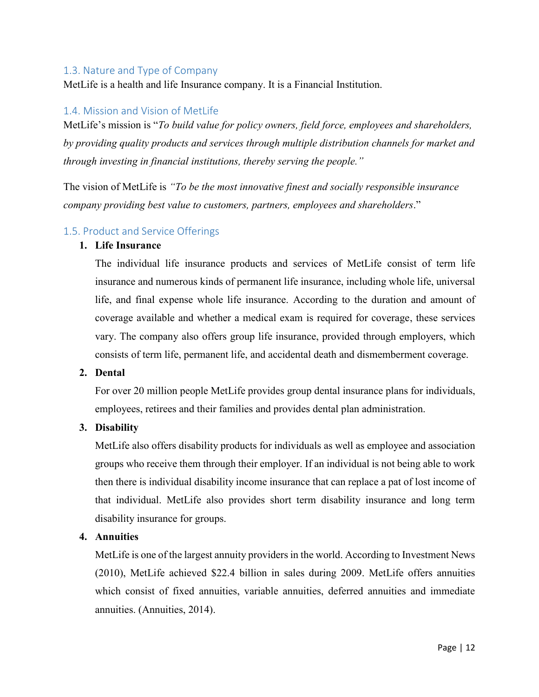#### <span id="page-11-0"></span>1.3. Nature and Type of Company

MetLife is a health and life Insurance company. It is a Financial Institution.

#### <span id="page-11-1"></span>1.4. Mission and Vision of MetLife

MetLife's mission is "*To build value for policy owners, field force, employees and shareholders, by providing quality products and services through multiple distribution channels for market and through investing in financial institutions, thereby serving the people."* 

The vision of MetLife is *"To be the most innovative finest and socially responsible insurance company providing best value to customers, partners, employees and shareholders*."

#### <span id="page-11-2"></span>1.5. Product and Service Offerings

#### **1. Life Insurance**

The individual life insurance products and services of MetLife consist of term life insurance and numerous kinds of permanent life insurance, including whole life, universal life, and final expense whole life insurance. According to the duration and amount of coverage available and whether a medical exam is required for coverage, these services vary. The company also offers group life insurance, provided through employers, which consists of term life, permanent life, and accidental death and dismemberment coverage.

#### **2. Dental**

For over 20 million people MetLife provides group dental insurance plans for individuals, employees, retirees and their families and provides dental plan administration.

#### **3. Disability**

MetLife also offers disability products for individuals as well as employee and association groups who receive them through their employer. If an individual is not being able to work then there is individual disability income insurance that can replace a pat of lost income of that individual. MetLife also provides short term disability insurance and long term disability insurance for groups.

#### **4. Annuities**

MetLife is one of the largest annuity providers in the world. According to Investment News (2010), MetLife achieved \$22.4 billion in sales during 2009. MetLife offers annuities which consist of fixed annuities, variable annuities, deferred annuities and immediate annuities. (Annuities, 2014).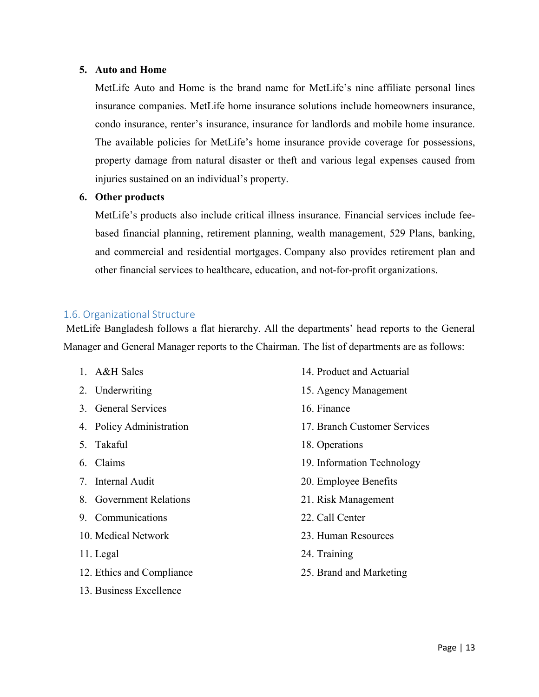#### **5. Auto and Home**

MetLife Auto and Home is the brand name for MetLife's nine affiliate personal lines insurance companies. MetLife home insurance solutions include homeowners insurance, condo insurance, renter's insurance, insurance for landlords and mobile home insurance. The available policies for MetLife's home insurance provide coverage for possessions, property damage from natural disaster or theft and various legal expenses caused from injuries sustained on an individual's property.

#### **6. Other products**

MetLife's products also include critical illness insurance. Financial services include feebased financial planning, retirement planning, wealth management, 529 Plans, banking, and commercial and residential mortgages. Company also provides retirement plan and other financial services to healthcare, education, and not-for-profit organizations.

#### <span id="page-12-0"></span>1.6. Organizational Structure

MetLife Bangladesh follows a flat hierarchy. All the departments' head reports to the General Manager and General Manager reports to the Chairman. The list of departments are as follows:

- 1. A&H Sales
- 2. Underwriting
- 3. General Services
- 4. Policy Administration
- 5. Takaful
- 6. Claims
- 7. Internal Audit
- 8. Government Relations
- 9. Communications
- 10. Medical Network
- 11. Legal
- 12. Ethics and Compliance
- 13. Business Excellence
- 14. Product and Actuarial
- 15. Agency Management
- 16. Finance
- 17. Branch Customer Services
- 18. Operations
- 19. Information Technology
- 20. Employee Benefits
- 21. Risk Management
- 22. Call Center
- 23. Human Resources
- 24. Training
- 25. Brand and Marketing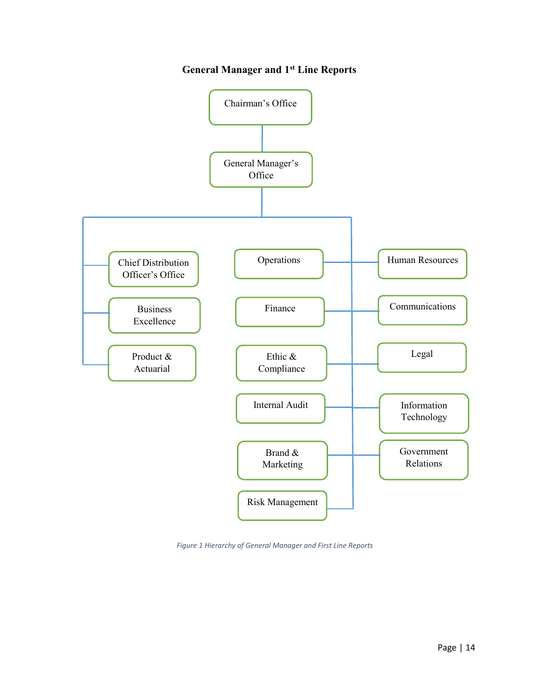## **General Manager and 1st Line Reports**



*Figure 1 Hierarchy of General Manager and First Line Reports*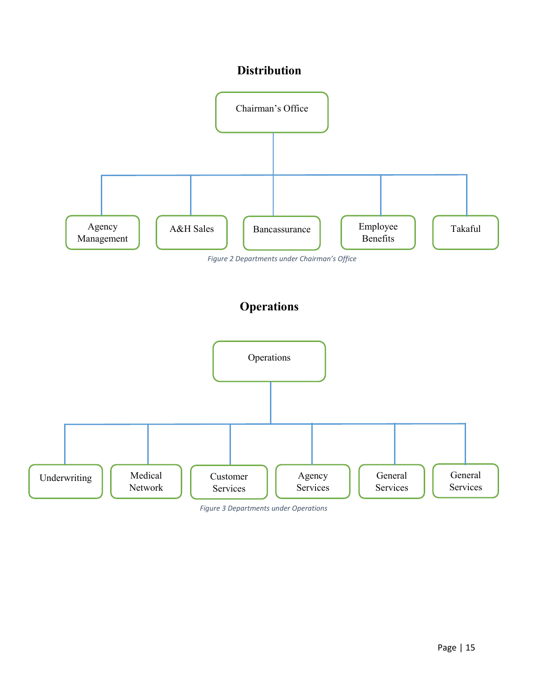# **Distribution**



*Figure 2 Departments under Chairman's Office*

# **Operations**



*Figure 3 Departments under Operations*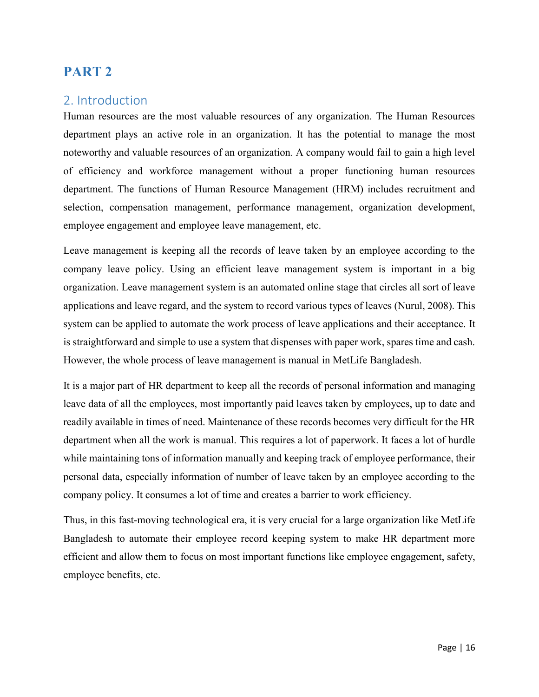# <span id="page-15-0"></span>**PART 2**

## <span id="page-15-1"></span>2. Introduction

Human resources are the most valuable resources of any organization. The Human Resources department plays an active role in an organization. It has the potential to manage the most noteworthy and valuable resources of an organization. A company would fail to gain a high level of efficiency and workforce management without a proper functioning human resources department. The functions of Human Resource Management (HRM) includes recruitment and selection, compensation management, performance management, organization development, employee engagement and employee leave management, etc.

Leave management is keeping all the records of leave taken by an employee according to the company leave policy. Using an efficient leave management system is important in a big organization. Leave management system is an automated online stage that circles all sort of leave applications and leave regard, and the system to record various types of leaves (Nurul, 2008). This system can be applied to automate the work process of leave applications and their acceptance. It is straightforward and simple to use a system that dispenses with paper work, spares time and cash. However, the whole process of leave management is manual in MetLife Bangladesh.

It is a major part of HR department to keep all the records of personal information and managing leave data of all the employees, most importantly paid leaves taken by employees, up to date and readily available in times of need. Maintenance of these records becomes very difficult for the HR department when all the work is manual. This requires a lot of paperwork. It faces a lot of hurdle while maintaining tons of information manually and keeping track of employee performance, their personal data, especially information of number of leave taken by an employee according to the company policy. It consumes a lot of time and creates a barrier to work efficiency.

Thus, in this fast-moving technological era, it is very crucial for a large organization like MetLife Bangladesh to automate their employee record keeping system to make HR department more efficient and allow them to focus on most important functions like employee engagement, safety, employee benefits, etc.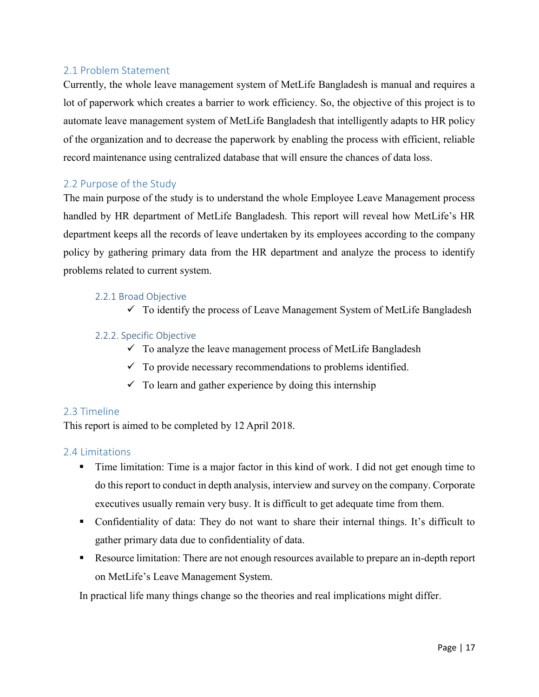#### <span id="page-16-0"></span>2.1 Problem Statement

Currently, the whole leave management system of MetLife Bangladesh is manual and requires a lot of paperwork which creates a barrier to work efficiency. So, the objective of this project is to automate leave management system of MetLife Bangladesh that intelligently adapts to HR policy of the organization and to decrease the paperwork by enabling the process with efficient, reliable record maintenance using centralized database that will ensure the chances of data loss.

#### <span id="page-16-1"></span>2.2 Purpose of the Study

The main purpose of the study is to understand the whole Employee Leave Management process handled by HR department of MetLife Bangladesh. This report will reveal how MetLife's HR department keeps all the records of leave undertaken by its employees according to the company policy by gathering primary data from the HR department and analyze the process to identify problems related to current system.

#### <span id="page-16-2"></span>2.2.1 Broad Objective

 $\checkmark$  To identify the process of Leave Management System of MetLife Bangladesh

#### <span id="page-16-3"></span>2.2.2. Specific Objective

- $\checkmark$  To analyze the leave management process of MetLife Bangladesh
- $\checkmark$  To provide necessary recommendations to problems identified.
- $\checkmark$  To learn and gather experience by doing this internship

#### <span id="page-16-4"></span>2.3 Timeline

This report is aimed to be completed by 12 April 2018.

#### <span id="page-16-5"></span>2.4 Limitations

- Time limitation: Time is a major factor in this kind of work. I did not get enough time to do this report to conduct in depth analysis, interview and survey on the company. Corporate executives usually remain very busy. It is difficult to get adequate time from them.
- Confidentiality of data: They do not want to share their internal things. It's difficult to gather primary data due to confidentiality of data.
- Resource limitation: There are not enough resources available to prepare an in-depth report on MetLife's Leave Management System.

In practical life many things change so the theories and real implications might differ.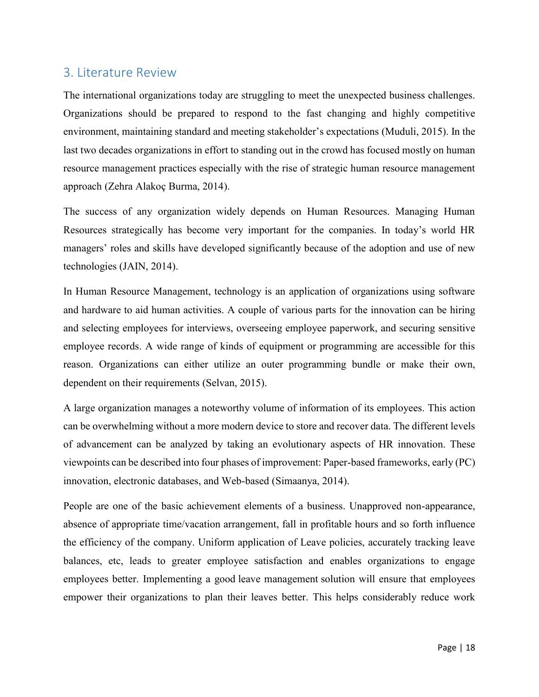## <span id="page-17-0"></span>3. Literature Review

The international organizations today are struggling to meet the unexpected business challenges. Organizations should be prepared to respond to the fast changing and highly competitive environment, maintaining standard and meeting stakeholder's expectations (Muduli, 2015). In the last two decades organizations in effort to standing out in the crowd has focused mostly on human resource management practices especially with the rise of strategic human resource management approach (Zehra Alakoç Burma, 2014).

The success of any organization widely depends on Human Resources. Managing Human Resources strategically has become very important for the companies. In today's world HR managers' roles and skills have developed significantly because of the adoption and use of new technologies (JAIN, 2014).

In Human Resource Management, technology is an application of organizations using software and hardware to aid human activities. A couple of various parts for the innovation can be hiring and selecting employees for interviews, overseeing employee paperwork, and securing sensitive employee records. A wide range of kinds of equipment or programming are accessible for this reason. Organizations can either utilize an outer programming bundle or make their own, dependent on their requirements (Selvan, 2015).

A large organization manages a noteworthy volume of information of its employees. This action can be overwhelming without a more modern device to store and recover data. The different levels of advancement can be analyzed by taking an evolutionary aspects of HR innovation. These viewpoints can be described into four phases of improvement: Paper-based frameworks, early (PC) innovation, electronic databases, and Web-based (Simaanya, 2014).

People are one of the basic achievement elements of a business. Unapproved non-appearance, absence of appropriate time/vacation arrangement, fall in profitable hours and so forth influence the efficiency of the company. Uniform application of Leave policies, accurately tracking leave balances, etc, leads to greater employee satisfaction and enables organizations to engage employees better. Implementing a good leave management solution will ensure that employees empower their organizations to plan their leaves better. This helps considerably reduce work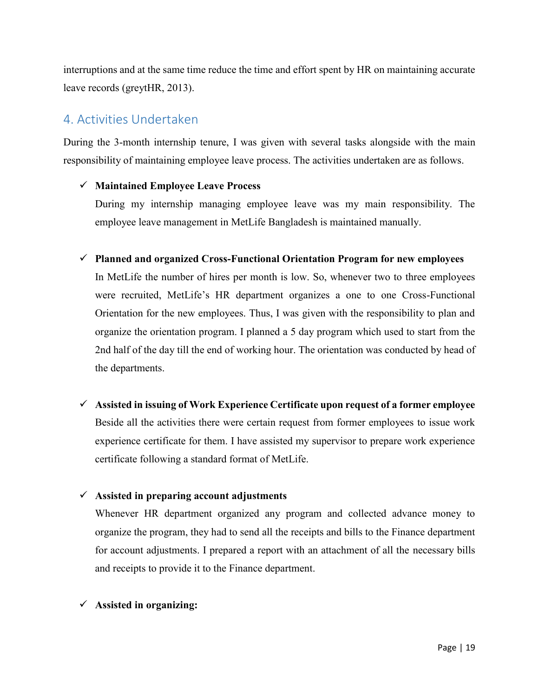interruptions and at the same time reduce the time and effort spent by HR on maintaining accurate leave records (greytHR, 2013).

# <span id="page-18-0"></span>4. Activities Undertaken

During the 3-month internship tenure, I was given with several tasks alongside with the main responsibility of maintaining employee leave process. The activities undertaken are as follows.

#### **Maintained Employee Leave Process**

During my internship managing employee leave was my main responsibility. The employee leave management in MetLife Bangladesh is maintained manually.

**Planned and organized Cross-Functional Orientation Program for new employees** 

In MetLife the number of hires per month is low. So, whenever two to three employees were recruited, MetLife's HR department organizes a one to one Cross-Functional Orientation for the new employees. Thus, I was given with the responsibility to plan and organize the orientation program. I planned a 5 day program which used to start from the 2nd half of the day till the end of working hour. The orientation was conducted by head of the departments.

 **Assisted in issuing of Work Experience Certificate upon request of a former employee**  Beside all the activities there were certain request from former employees to issue work experience certificate for them. I have assisted my supervisor to prepare work experience certificate following a standard format of MetLife.

#### **Assisted in preparing account adjustments**

Whenever HR department organized any program and collected advance money to organize the program, they had to send all the receipts and bills to the Finance department for account adjustments. I prepared a report with an attachment of all the necessary bills and receipts to provide it to the Finance department.

#### **Assisted in organizing:**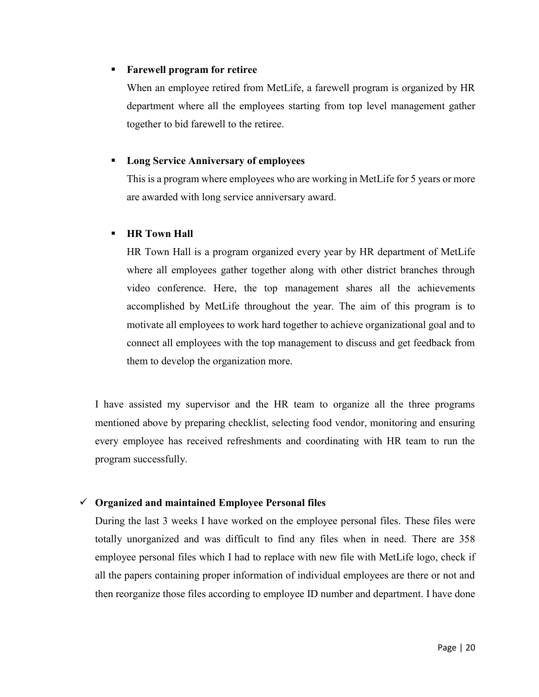#### **Farewell program for retiree**

When an employee retired from MetLife, a farewell program is organized by HR department where all the employees starting from top level management gather together to bid farewell to the retiree.

#### **Long Service Anniversary of employees**

This is a program where employees who are working in MetLife for 5 years or more are awarded with long service anniversary award.

#### **HR Town Hall**

HR Town Hall is a program organized every year by HR department of MetLife where all employees gather together along with other district branches through video conference. Here, the top management shares all the achievements accomplished by MetLife throughout the year. The aim of this program is to motivate all employees to work hard together to achieve organizational goal and to connect all employees with the top management to discuss and get feedback from them to develop the organization more.

I have assisted my supervisor and the HR team to organize all the three programs mentioned above by preparing checklist, selecting food vendor, monitoring and ensuring every employee has received refreshments and coordinating with HR team to run the program successfully.

#### **Organized and maintained Employee Personal files**

During the last 3 weeks I have worked on the employee personal files. These files were totally unorganized and was difficult to find any files when in need. There are 358 employee personal files which I had to replace with new file with MetLife logo, check if all the papers containing proper information of individual employees are there or not and then reorganize those files according to employee ID number and department. I have done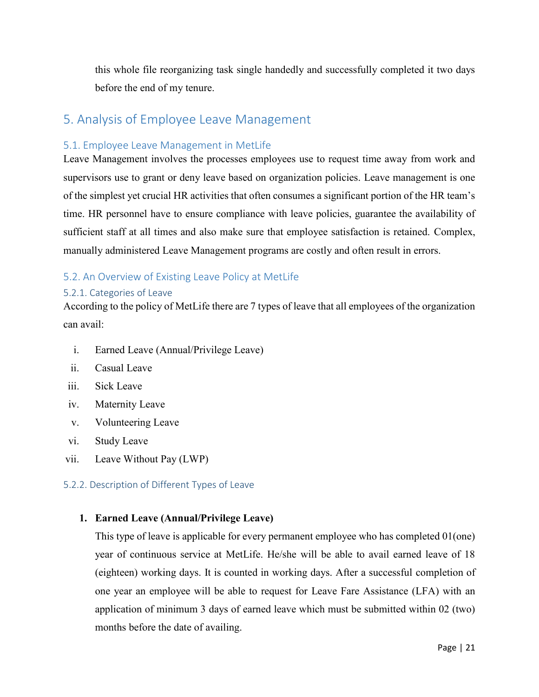this whole file reorganizing task single handedly and successfully completed it two days before the end of my tenure.

# <span id="page-20-0"></span>5. Analysis of Employee Leave Management

#### <span id="page-20-1"></span>5.1. Employee Leave Management in MetLife

Leave Management involves the processes employees use to request time away from work and supervisors use to grant or deny leave based on organization policies. Leave management is one of the simplest yet crucial HR activities that often consumes a significant portion of the HR team's time. HR personnel have to ensure compliance with leave policies, guarantee the availability of sufficient staff at all times and also make sure that employee satisfaction is retained. Complex, manually administered Leave Management programs are costly and often result in errors.

#### <span id="page-20-2"></span>5.2. An Overview of Existing Leave Policy at MetLife

#### <span id="page-20-3"></span>5.2.1. Categories of Leave

According to the policy of MetLife there are 7 types of leave that all employees of the organization can avail:

- i. Earned Leave (Annual/Privilege Leave)
- ii. Casual Leave
- iii. Sick Leave
- iv. Maternity Leave
- v. Volunteering Leave
- vi. Study Leave
- vii. Leave Without Pay (LWP)

#### <span id="page-20-4"></span>5.2.2. Description of Different Types of Leave

#### **1. Earned Leave (Annual/Privilege Leave)**

This type of leave is applicable for every permanent employee who has completed 01(one) year of continuous service at MetLife. He/she will be able to avail earned leave of 18 (eighteen) working days. It is counted in working days. After a successful completion of one year an employee will be able to request for Leave Fare Assistance (LFA) with an application of minimum 3 days of earned leave which must be submitted within 02 (two) months before the date of availing.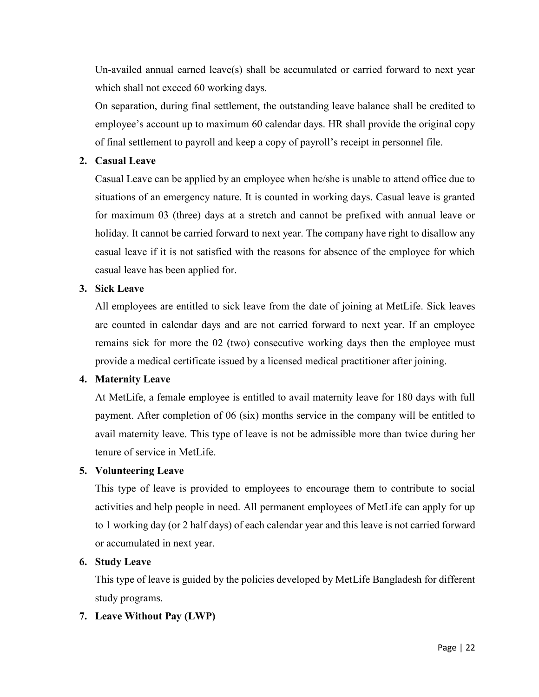Un-availed annual earned leave(s) shall be accumulated or carried forward to next year which shall not exceed 60 working days.

On separation, during final settlement, the outstanding leave balance shall be credited to employee's account up to maximum 60 calendar days. HR shall provide the original copy of final settlement to payroll and keep a copy of payroll's receipt in personnel file.

#### **2. Casual Leave**

Casual Leave can be applied by an employee when he/she is unable to attend office due to situations of an emergency nature. It is counted in working days. Casual leave is granted for maximum 03 (three) days at a stretch and cannot be prefixed with annual leave or holiday. It cannot be carried forward to next year. The company have right to disallow any casual leave if it is not satisfied with the reasons for absence of the employee for which casual leave has been applied for.

#### **3. Sick Leave**

All employees are entitled to sick leave from the date of joining at MetLife. Sick leaves are counted in calendar days and are not carried forward to next year. If an employee remains sick for more the 02 (two) consecutive working days then the employee must provide a medical certificate issued by a licensed medical practitioner after joining.

#### **4. Maternity Leave**

At MetLife, a female employee is entitled to avail maternity leave for 180 days with full payment. After completion of 06 (six) months service in the company will be entitled to avail maternity leave. This type of leave is not be admissible more than twice during her tenure of service in MetLife.

#### **5. Volunteering Leave**

This type of leave is provided to employees to encourage them to contribute to social activities and help people in need. All permanent employees of MetLife can apply for up to 1 working day (or 2 half days) of each calendar year and this leave is not carried forward or accumulated in next year.

#### **6. Study Leave**

This type of leave is guided by the policies developed by MetLife Bangladesh for different study programs.

#### **7. Leave Without Pay (LWP)**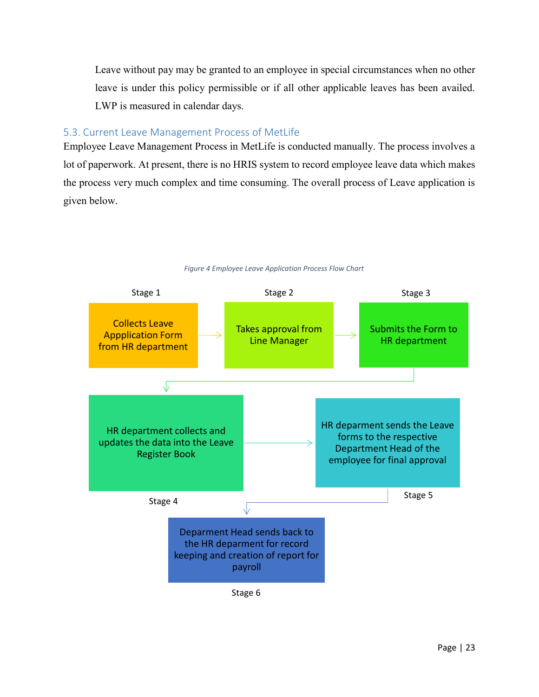Leave without pay may be granted to an employee in special circumstances when no other leave is under this policy permissible or if all other applicable leaves has been availed. LWP is measured in calendar days.

#### <span id="page-22-0"></span>5.3. Current Leave Management Process of MetLife

Employee Leave Management Process in MetLife is conducted manually. The process involves a lot of paperwork. At present, there is no HRIS system to record employee leave data which makes the process very much complex and time consuming. The overall process of Leave application is given below.



*Figure 4 Employee Leave Application Process Flow Chart*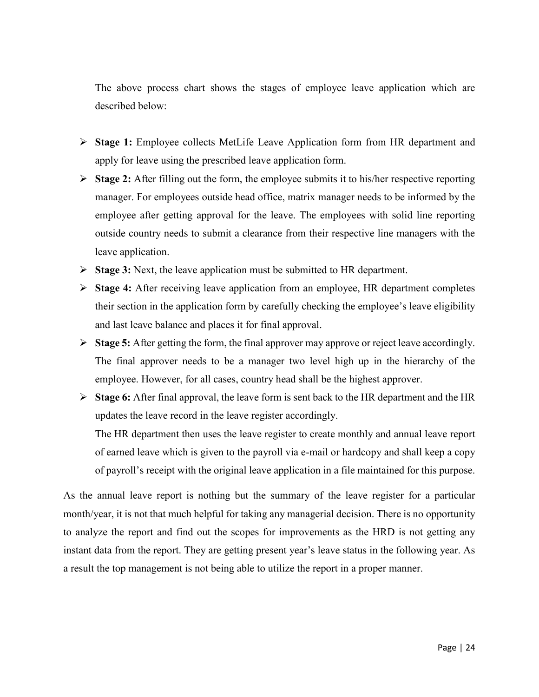The above process chart shows the stages of employee leave application which are described below:

- **Stage 1:** Employee collects MetLife Leave Application form from HR department and apply for leave using the prescribed leave application form.
- **Stage 2:** After filling out the form, the employee submits it to his/her respective reporting manager. For employees outside head office, matrix manager needs to be informed by the employee after getting approval for the leave. The employees with solid line reporting outside country needs to submit a clearance from their respective line managers with the leave application.
- **Stage 3:** Next, the leave application must be submitted to HR department.
- **Stage 4:** After receiving leave application from an employee, HR department completes their section in the application form by carefully checking the employee's leave eligibility and last leave balance and places it for final approval.
- **Stage 5:** After getting the form, the final approver may approve or reject leave accordingly. The final approver needs to be a manager two level high up in the hierarchy of the employee. However, for all cases, country head shall be the highest approver.
- **Stage 6:** After final approval, the leave form is sent back to the HR department and the HR updates the leave record in the leave register accordingly.

The HR department then uses the leave register to create monthly and annual leave report of earned leave which is given to the payroll via e-mail or hardcopy and shall keep a copy of payroll's receipt with the original leave application in a file maintained for this purpose.

As the annual leave report is nothing but the summary of the leave register for a particular month/year, it is not that much helpful for taking any managerial decision. There is no opportunity to analyze the report and find out the scopes for improvements as the HRD is not getting any instant data from the report. They are getting present year's leave status in the following year. As a result the top management is not being able to utilize the report in a proper manner.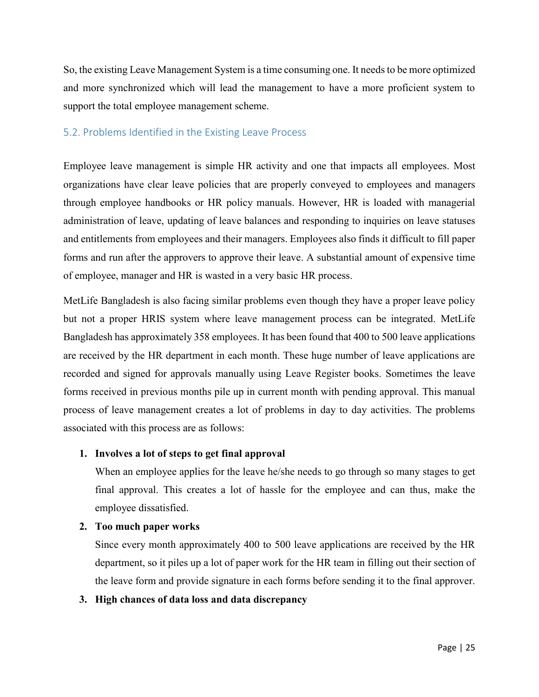So, the existing Leave Management System is a time consuming one. It needs to be more optimized and more synchronized which will lead the management to have a more proficient system to support the total employee management scheme.

#### <span id="page-24-0"></span>5.2. Problems Identified in the Existing Leave Process

Employee leave management is simple HR activity and one that impacts all employees. Most organizations have clear leave policies that are properly conveyed to employees and managers through employee handbooks or HR policy manuals. However, HR is loaded with managerial administration of leave, updating of leave balances and responding to inquiries on leave statuses and entitlements from employees and their managers. Employees also finds it difficult to fill paper forms and run after the approvers to approve their leave. A substantial amount of expensive time of employee, manager and HR is wasted in a very basic HR process.

MetLife Bangladesh is also facing similar problems even though they have a proper leave policy but not a proper HRIS system where leave management process can be integrated. MetLife Bangladesh has approximately 358 employees. It has been found that 400 to 500 leave applications are received by the HR department in each month. These huge number of leave applications are recorded and signed for approvals manually using Leave Register books. Sometimes the leave forms received in previous months pile up in current month with pending approval. This manual process of leave management creates a lot of problems in day to day activities. The problems associated with this process are as follows:

#### **1. Involves a lot of steps to get final approval**

When an employee applies for the leave he/she needs to go through so many stages to get final approval. This creates a lot of hassle for the employee and can thus, make the employee dissatisfied.

#### **2. Too much paper works**

Since every month approximately 400 to 500 leave applications are received by the HR department, so it piles up a lot of paper work for the HR team in filling out their section of the leave form and provide signature in each forms before sending it to the final approver.

#### **3. High chances of data loss and data discrepancy**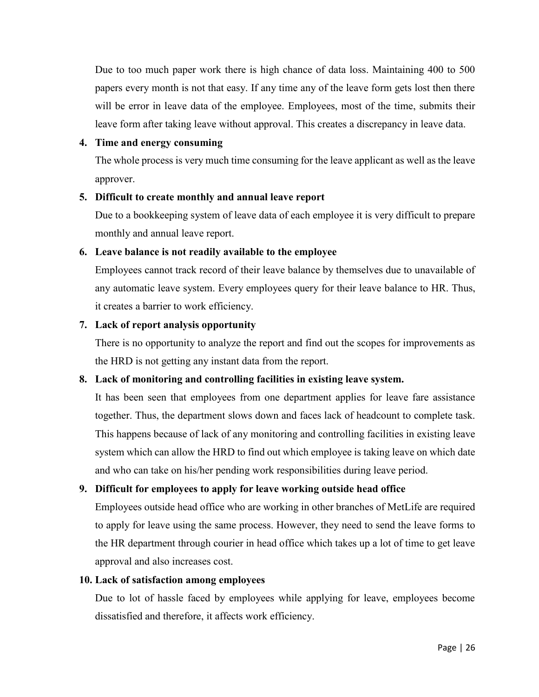Due to too much paper work there is high chance of data loss. Maintaining 400 to 500 papers every month is not that easy. If any time any of the leave form gets lost then there will be error in leave data of the employee. Employees, most of the time, submits their leave form after taking leave without approval. This creates a discrepancy in leave data.

#### **4. Time and energy consuming**

The whole process is very much time consuming for the leave applicant as well as the leave approver.

#### **5. Difficult to create monthly and annual leave report**

Due to a bookkeeping system of leave data of each employee it is very difficult to prepare monthly and annual leave report.

#### **6. Leave balance is not readily available to the employee**

Employees cannot track record of their leave balance by themselves due to unavailable of any automatic leave system. Every employees query for their leave balance to HR. Thus, it creates a barrier to work efficiency.

#### **7. Lack of report analysis opportunity**

There is no opportunity to analyze the report and find out the scopes for improvements as the HRD is not getting any instant data from the report.

#### **8. Lack of monitoring and controlling facilities in existing leave system.**

It has been seen that employees from one department applies for leave fare assistance together. Thus, the department slows down and faces lack of headcount to complete task. This happens because of lack of any monitoring and controlling facilities in existing leave system which can allow the HRD to find out which employee is taking leave on which date and who can take on his/her pending work responsibilities during leave period.

#### **9. Difficult for employees to apply for leave working outside head office**

Employees outside head office who are working in other branches of MetLife are required to apply for leave using the same process. However, they need to send the leave forms to the HR department through courier in head office which takes up a lot of time to get leave approval and also increases cost.

#### **10. Lack of satisfaction among employees**

Due to lot of hassle faced by employees while applying for leave, employees become dissatisfied and therefore, it affects work efficiency.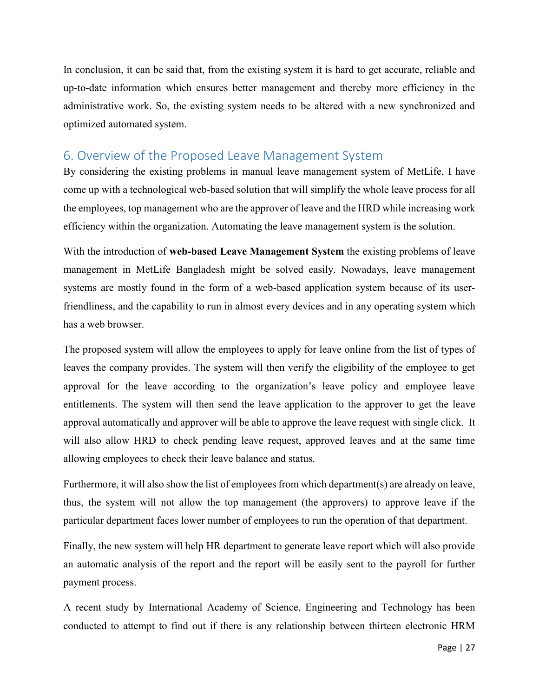In conclusion, it can be said that, from the existing system it is hard to get accurate, reliable and up-to-date information which ensures better management and thereby more efficiency in the administrative work. So, the existing system needs to be altered with a new synchronized and optimized automated system.

## <span id="page-26-0"></span>6. Overview of the Proposed Leave Management System

By considering the existing problems in manual leave management system of MetLife, I have come up with a technological web-based solution that will simplify the whole leave process for all the employees, top management who are the approver of leave and the HRD while increasing work efficiency within the organization. Automating the leave management system is the solution.

With the introduction of **web-based Leave Management System** the existing problems of leave management in MetLife Bangladesh might be solved easily. Nowadays, leave management systems are mostly found in the form of a web-based application system because of its userfriendliness, and the capability to run in almost every devices and in any operating system which has a web browser.

The proposed system will allow the employees to apply for leave online from the list of types of leaves the company provides. The system will then verify the eligibility of the employee to get approval for the leave according to the organization's leave policy and employee leave entitlements. The system will then send the leave application to the approver to get the leave approval automatically and approver will be able to approve the leave request with single click. It will also allow HRD to check pending leave request, approved leaves and at the same time allowing employees to check their leave balance and status.

Furthermore, it will also show the list of employees from which department(s) are already on leave, thus, the system will not allow the top management (the approvers) to approve leave if the particular department faces lower number of employees to run the operation of that department.

Finally, the new system will help HR department to generate leave report which will also provide an automatic analysis of the report and the report will be easily sent to the payroll for further payment process.

A recent study by International Academy of Science, Engineering and Technology has been conducted to attempt to find out if there is any relationship between thirteen electronic HRM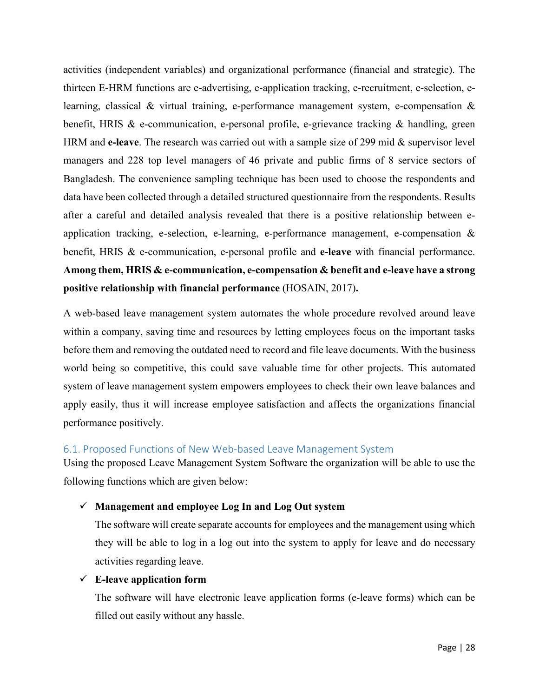activities (independent variables) and organizational performance (financial and strategic). The thirteen E-HRM functions are e-advertising, e-application tracking, e-recruitment, e-selection, elearning, classical & virtual training, e-performance management system, e-compensation & benefit, HRIS & e-communication, e-personal profile, e-grievance tracking & handling, green HRM and **e-leave**. The research was carried out with a sample size of 299 mid & supervisor level managers and 228 top level managers of 46 private and public firms of 8 service sectors of Bangladesh. The convenience sampling technique has been used to choose the respondents and data have been collected through a detailed structured questionnaire from the respondents. Results after a careful and detailed analysis revealed that there is a positive relationship between eapplication tracking, e-selection, e-learning, e-performance management, e-compensation & benefit, HRIS & e-communication, e-personal profile and **e-leave** with financial performance. **Among them, HRIS & e-communication, e-compensation & benefit and e-leave have a strong positive relationship with financial performance** (HOSAIN, 2017)**.** 

A web-based leave management system automates the whole procedure revolved around leave within a company, saving time and resources by letting employees focus on the important tasks before them and removing the outdated need to record and file leave documents. With the business world being so competitive, this could save valuable time for other projects. This automated system of leave management system empowers employees to check their own leave balances and apply easily, thus it will increase employee satisfaction and affects the organizations financial performance positively.

#### <span id="page-27-0"></span>6.1. Proposed Functions of New Web-based Leave Management System

Using the proposed Leave Management System Software the organization will be able to use the following functions which are given below:

#### **Management and employee Log In and Log Out system**

The software will create separate accounts for employees and the management using which they will be able to log in a log out into the system to apply for leave and do necessary activities regarding leave.

#### **E-leave application form**

The software will have electronic leave application forms (e-leave forms) which can be filled out easily without any hassle.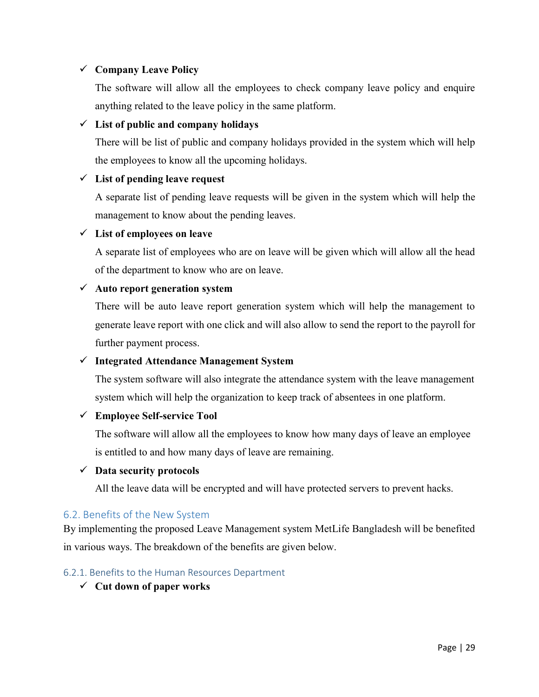#### **Company Leave Policy**

The software will allow all the employees to check company leave policy and enquire anything related to the leave policy in the same platform.

#### **List of public and company holidays**

There will be list of public and company holidays provided in the system which will help the employees to know all the upcoming holidays.

#### **List of pending leave request**

A separate list of pending leave requests will be given in the system which will help the management to know about the pending leaves.

#### **List of employees on leave**

A separate list of employees who are on leave will be given which will allow all the head of the department to know who are on leave.

#### **Auto report generation system**

There will be auto leave report generation system which will help the management to generate leave report with one click and will also allow to send the report to the payroll for further payment process.

#### **Integrated Attendance Management System**

The system software will also integrate the attendance system with the leave management system which will help the organization to keep track of absentees in one platform.

#### **Employee Self-service Tool**

The software will allow all the employees to know how many days of leave an employee is entitled to and how many days of leave are remaining.

#### **Data security protocols**

All the leave data will be encrypted and will have protected servers to prevent hacks.

#### <span id="page-28-0"></span>6.2. Benefits of the New System

By implementing the proposed Leave Management system MetLife Bangladesh will be benefited in various ways. The breakdown of the benefits are given below.

#### <span id="page-28-1"></span>6.2.1. Benefits to the Human Resources Department

**Cut down of paper works**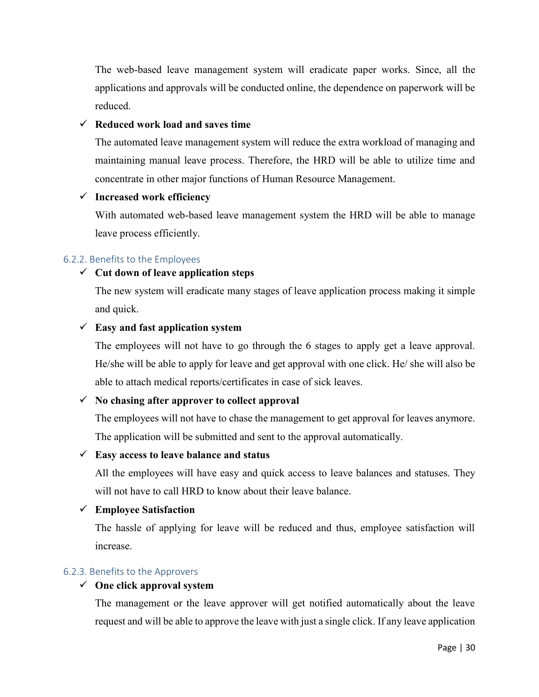The web-based leave management system will eradicate paper works. Since, all the applications and approvals will be conducted online, the dependence on paperwork will be reduced.

#### **Reduced work load and saves time**

The automated leave management system will reduce the extra workload of managing and maintaining manual leave process. Therefore, the HRD will be able to utilize time and concentrate in other major functions of Human Resource Management.

#### **Increased work efficiency**

With automated web-based leave management system the HRD will be able to manage leave process efficiently.

#### <span id="page-29-0"></span>6.2.2. Benefits to the Employees

#### **Cut down of leave application steps**

The new system will eradicate many stages of leave application process making it simple and quick.

#### **Easy and fast application system**

The employees will not have to go through the 6 stages to apply get a leave approval. He/she will be able to apply for leave and get approval with one click. He/ she will also be able to attach medical reports/certificates in case of sick leaves.

#### **No chasing after approver to collect approval**

The employees will not have to chase the management to get approval for leaves anymore. The application will be submitted and sent to the approval automatically.

#### **Easy access to leave balance and status**

All the employees will have easy and quick access to leave balances and statuses. They will not have to call HRD to know about their leave balance.

#### **Employee Satisfaction**

The hassle of applying for leave will be reduced and thus, employee satisfaction will increase.

#### <span id="page-29-1"></span>6.2.3. Benefits to the Approvers

#### **One click approval system**

The management or the leave approver will get notified automatically about the leave request and will be able to approve the leave with just a single click. If any leave application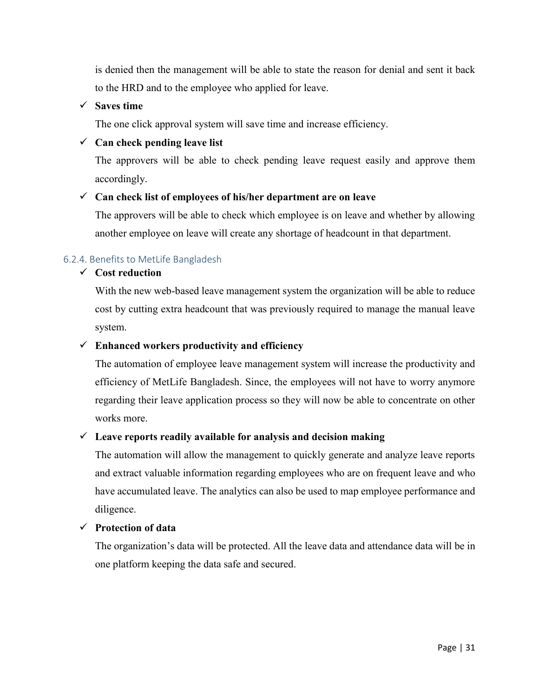is denied then the management will be able to state the reason for denial and sent it back to the HRD and to the employee who applied for leave.

#### **Saves time**

The one click approval system will save time and increase efficiency.

#### **Can check pending leave list**

The approvers will be able to check pending leave request easily and approve them accordingly.

#### **Can check list of employees of his/her department are on leave**

The approvers will be able to check which employee is on leave and whether by allowing another employee on leave will create any shortage of headcount in that department.

#### <span id="page-30-0"></span>6.2.4. Benefits to MetLife Bangladesh

#### **Cost reduction**

With the new web-based leave management system the organization will be able to reduce cost by cutting extra headcount that was previously required to manage the manual leave system.

#### **Enhanced workers productivity and efficiency**

The automation of employee leave management system will increase the productivity and efficiency of MetLife Bangladesh. Since, the employees will not have to worry anymore regarding their leave application process so they will now be able to concentrate on other works more.

#### **Leave reports readily available for analysis and decision making**

The automation will allow the management to quickly generate and analyze leave reports and extract valuable information regarding employees who are on frequent leave and who have accumulated leave. The analytics can also be used to map employee performance and diligence.

#### **Protection of data**

The organization's data will be protected. All the leave data and attendance data will be in one platform keeping the data safe and secured.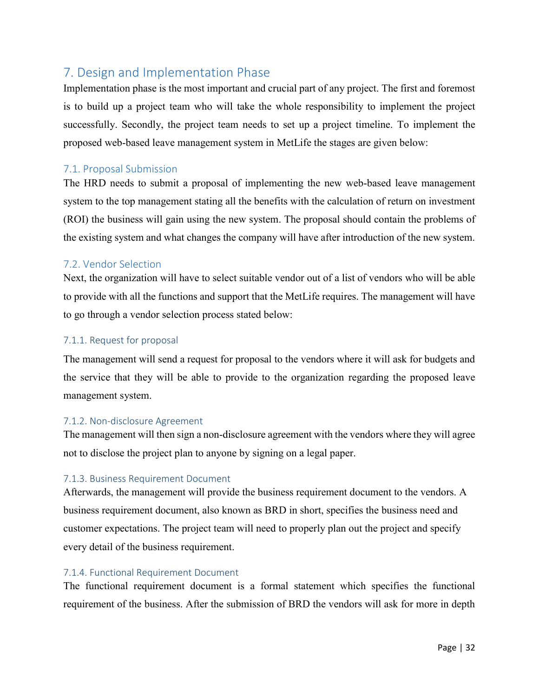# <span id="page-31-0"></span>7. Design and Implementation Phase

Implementation phase is the most important and crucial part of any project. The first and foremost is to build up a project team who will take the whole responsibility to implement the project successfully. Secondly, the project team needs to set up a project timeline. To implement the proposed web-based leave management system in MetLife the stages are given below:

### <span id="page-31-1"></span>7.1. Proposal Submission

The HRD needs to submit a proposal of implementing the new web-based leave management system to the top management stating all the benefits with the calculation of return on investment (ROI) the business will gain using the new system. The proposal should contain the problems of the existing system and what changes the company will have after introduction of the new system.

#### <span id="page-31-2"></span>7.2. Vendor Selection

Next, the organization will have to select suitable vendor out of a list of vendors who will be able to provide with all the functions and support that the MetLife requires. The management will have to go through a vendor selection process stated below:

#### <span id="page-31-3"></span>7.1.1. Request for proposal

The management will send a request for proposal to the vendors where it will ask for budgets and the service that they will be able to provide to the organization regarding the proposed leave management system.

#### <span id="page-31-4"></span>7.1.2. Non-disclosure Agreement

The management will then sign a non-disclosure agreement with the vendors where they will agree not to disclose the project plan to anyone by signing on a legal paper.

#### <span id="page-31-5"></span>7.1.3. Business Requirement Document

Afterwards, the management will provide the business requirement document to the vendors. A business requirement document, also known as BRD in short, specifies the business need and customer expectations. The project team will need to properly plan out the project and specify every detail of the business requirement.

#### <span id="page-31-6"></span>7.1.4. Functional Requirement Document

The functional requirement document is a formal statement which specifies the functional requirement of the business. After the submission of BRD the vendors will ask for more in depth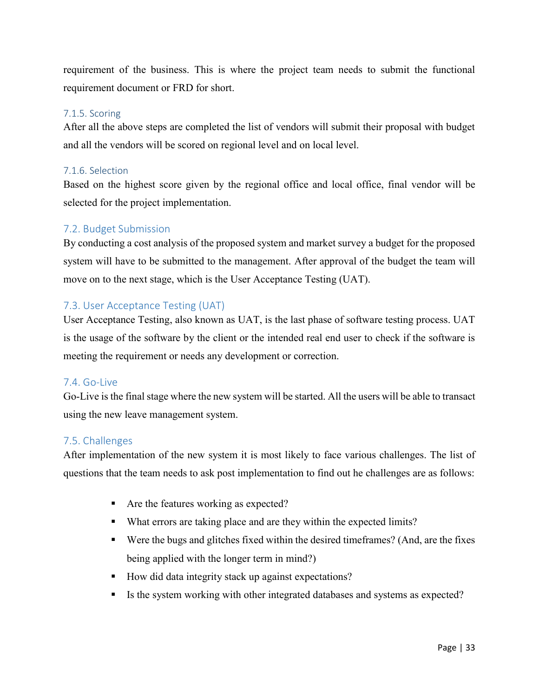requirement of the business. This is where the project team needs to submit the functional requirement document or FRD for short.

#### <span id="page-32-0"></span>7.1.5. Scoring

After all the above steps are completed the list of vendors will submit their proposal with budget and all the vendors will be scored on regional level and on local level.

#### <span id="page-32-1"></span>7.1.6. Selection

Based on the highest score given by the regional office and local office, final vendor will be selected for the project implementation.

#### <span id="page-32-2"></span>7.2. Budget Submission

By conducting a cost analysis of the proposed system and market survey a budget for the proposed system will have to be submitted to the management. After approval of the budget the team will move on to the next stage, which is the User Acceptance Testing (UAT).

#### <span id="page-32-3"></span>7.3. User Acceptance Testing (UAT)

User Acceptance Testing, also known as UAT, is the last phase of software testing process. UAT is the usage of the software by the client or the intended real end user to check if the software is meeting the requirement or needs any development or correction.

#### <span id="page-32-4"></span>7.4. Go-Live

Go-Live is the final stage where the new system will be started. All the users will be able to transact using the new leave management system.

#### <span id="page-32-5"></span>7.5. Challenges

After implementation of the new system it is most likely to face various challenges. The list of questions that the team needs to ask post implementation to find out he challenges are as follows:

- Are the features working as expected?
- What errors are taking place and are they within the expected limits?
- Were the bugs and glitches fixed within the desired timeframes? (And, are the fixes being applied with the longer term in mind?)
- How did data integrity stack up against expectations?
- Is the system working with other integrated databases and systems as expected?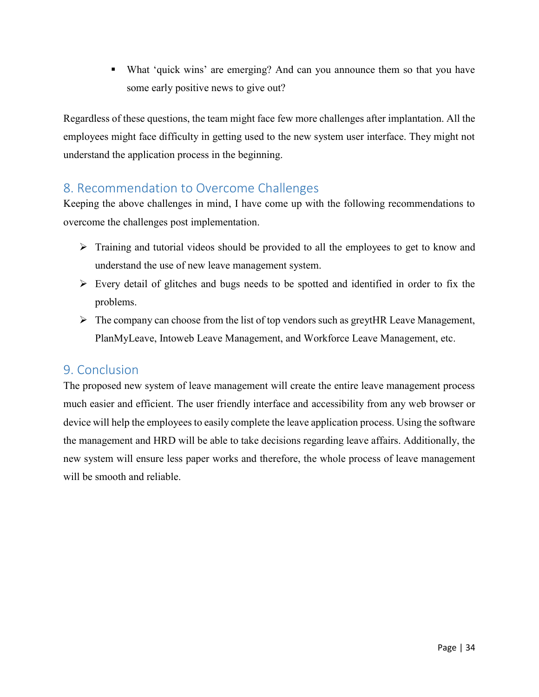What 'quick wins' are emerging? And can you announce them so that you have some early positive news to give out?

Regardless of these questions, the team might face few more challenges after implantation. All the employees might face difficulty in getting used to the new system user interface. They might not understand the application process in the beginning.

# <span id="page-33-0"></span>8. Recommendation to Overcome Challenges

Keeping the above challenges in mind, I have come up with the following recommendations to overcome the challenges post implementation.

- $\triangleright$  Training and tutorial videos should be provided to all the employees to get to know and understand the use of new leave management system.
- $\triangleright$  Every detail of glitches and bugs needs to be spotted and identified in order to fix the problems.
- $\triangleright$  The company can choose from the list of top vendors such as greytHR Leave Management, PlanMyLeave, Intoweb Leave Management, and Workforce Leave Management, etc.

## <span id="page-33-1"></span>9. Conclusion

The proposed new system of leave management will create the entire leave management process much easier and efficient. The user friendly interface and accessibility from any web browser or device will help the employees to easily complete the leave application process. Using the software the management and HRD will be able to take decisions regarding leave affairs. Additionally, the new system will ensure less paper works and therefore, the whole process of leave management will be smooth and reliable.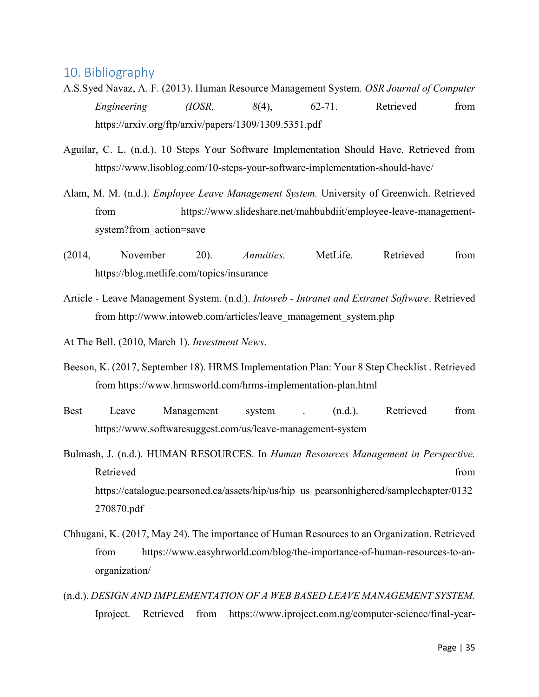## <span id="page-34-0"></span>10. Bibliography

- A.S.Syed Navaz, A. F. (2013). Human Resource Management System. *OSR Journal of Computer Engineering (IOSR,*  $8(4)$ , 62-71. Retrieved from https://arxiv.org/ftp/arxiv/papers/1309/1309.5351.pdf
- Aguilar, C. L. (n.d.). 10 Steps Your Software Implementation Should Have. Retrieved from https://www.lisoblog.com/10-steps-your-software-implementation-should-have/
- Alam, M. M. (n.d.). *Employee Leave Management System.* University of Greenwich. Retrieved from https://www.slideshare.net/mahbubdiit/employee-leave-managementsystem?from\_action=save
- (2014, November 20). *Annuities.* MetLife. Retrieved from https://blog.metlife.com/topics/insurance
- Article Leave Management System. (n.d.). *Intoweb Intranet and Extranet Software*. Retrieved from http://www.intoweb.com/articles/leave\_management\_system.php
- At The Bell. (2010, March 1). *Investment News*.
- Beeson, K. (2017, September 18). HRMS Implementation Plan: Your 8 Step Checklist . Retrieved from https://www.hrmsworld.com/hrms-implementation-plan.html
- Best Leave Management system . (n.d.). Retrieved from https://www.softwaresuggest.com/us/leave-management-system
- Bulmash, J. (n.d.). HUMAN RESOURCES. In *Human Resources Management in Perspective.* Retrieved from the state of the state of the state of the state of the state of the state of the state of the state of the state of the state of the state of the state of the state of the state of the state of the state of https://catalogue.pearsoned.ca/assets/hip/us/hip\_us\_pearsonhighered/samplechapter/0132 270870.pdf
- Chhugani, K. (2017, May 24). The importance of Human Resources to an Organization. Retrieved from https://www.easyhrworld.com/blog/the-importance-of-human-resources-to-anorganization/
- (n.d.). *DESIGN AND IMPLEMENTATION OF A WEB BASED LEAVE MANAGEMENT SYSTEM.* Iproject. Retrieved from https://www.iproject.com.ng/computer-science/final-year-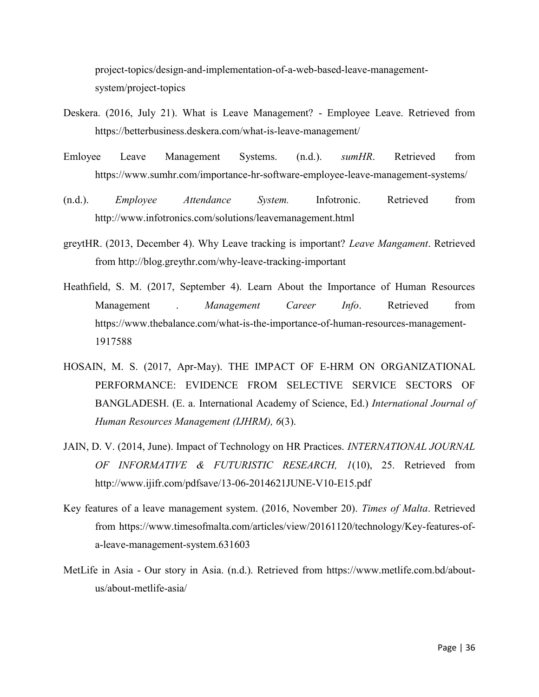project-topics/design-and-implementation-of-a-web-based-leave-managementsystem/project-topics

- Deskera. (2016, July 21). What is Leave Management? Employee Leave. Retrieved from https://betterbusiness.deskera.com/what-is-leave-management/
- Emloyee Leave Management Systems. (n.d.). *sumHR*. Retrieved from https://www.sumhr.com/importance-hr-software-employee-leave-management-systems/
- (n.d.). *Employee Attendance System.* Infotronic. Retrieved from http://www.infotronics.com/solutions/leavemanagement.html
- greytHR. (2013, December 4). Why Leave tracking is important? *Leave Mangament*. Retrieved from http://blog.greythr.com/why-leave-tracking-important
- Heathfield, S. M. (2017, September 4). Learn About the Importance of Human Resources Management . *Management Career Info*. Retrieved from https://www.thebalance.com/what-is-the-importance-of-human-resources-management-1917588
- HOSAIN, M. S. (2017, Apr-May). THE IMPACT OF E-HRM ON ORGANIZATIONAL PERFORMANCE: EVIDENCE FROM SELECTIVE SERVICE SECTORS OF BANGLADESH. (E. a. International Academy of Science, Ed.) *International Journal of Human Resources Management (IJHRM), 6*(3).
- JAIN, D. V. (2014, June). Impact of Technology on HR Practices. *INTERNATIONAL JOURNAL OF INFORMATIVE & FUTURISTIC RESEARCH, 1*(10), 25. Retrieved from http://www.ijifr.com/pdfsave/13-06-2014621JUNE-V10-E15.pdf
- Key features of a leave management system. (2016, November 20). *Times of Malta*. Retrieved from https://www.timesofmalta.com/articles/view/20161120/technology/Key-features-ofa-leave-management-system.631603
- MetLife in Asia Our story in Asia. (n.d.). Retrieved from https://www.metlife.com.bd/aboutus/about-metlife-asia/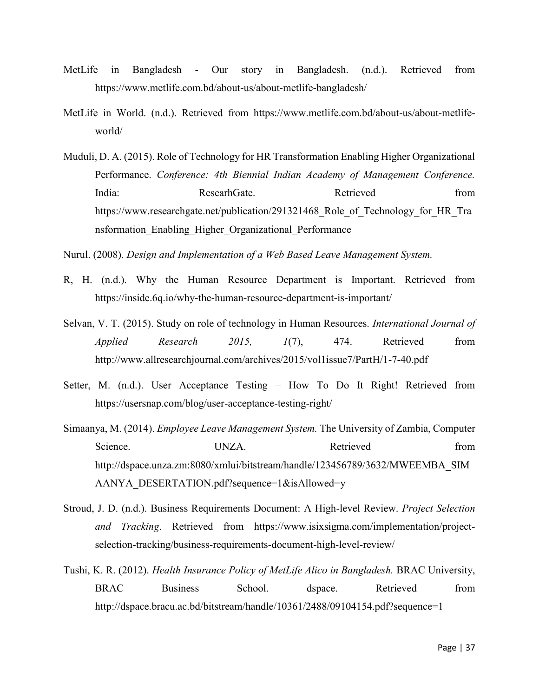- MetLife in Bangladesh Our story in Bangladesh. (n.d.). Retrieved from https://www.metlife.com.bd/about-us/about-metlife-bangladesh/
- MetLife in World. (n.d.). Retrieved from https://www.metlife.com.bd/about-us/about-metlifeworld/
- Muduli, D. A. (2015). Role of Technology for HR Transformation Enabling Higher Organizational Performance. *Conference: 4th Biennial Indian Academy of Management Conference.* India: ResearhGate. Retrieved from https://www.researchgate.net/publication/291321468 Role of Technology for HR Tra nsformation\_Enabling\_Higher\_Organizational\_Performance

Nurul. (2008). *Design and Implementation of a Web Based Leave Management System.*

- R, H. (n.d.). Why the Human Resource Department is Important. Retrieved from https://inside.6q.io/why-the-human-resource-department-is-important/
- Selvan, V. T. (2015). Study on role of technology in Human Resources. *International Journal of Applied Research 2015, 1*(7), 474. Retrieved from http://www.allresearchjournal.com/archives/2015/vol1issue7/PartH/1-7-40.pdf
- Setter, M. (n.d.). User Acceptance Testing How To Do It Right! Retrieved from https://usersnap.com/blog/user-acceptance-testing-right/
- Simaanya, M. (2014). *Employee Leave Management System.* The University of Zambia, Computer Science. UNZA. Retrieved from http://dspace.unza.zm:8080/xmlui/bitstream/handle/123456789/3632/MWEEMBA\_SIM AANYA\_DESERTATION.pdf?sequence=1&isAllowed=y
- Stroud, J. D. (n.d.). Business Requirements Document: A High-level Review. *Project Selection and Tracking*. Retrieved from https://www.isixsigma.com/implementation/projectselection-tracking/business-requirements-document-high-level-review/
- Tushi, K. R. (2012). *Health Insurance Policy of MetLife Alico in Bangladesh.* BRAC University, BRAC Business School. dspace. Retrieved from http://dspace.bracu.ac.bd/bitstream/handle/10361/2488/09104154.pdf?sequence=1